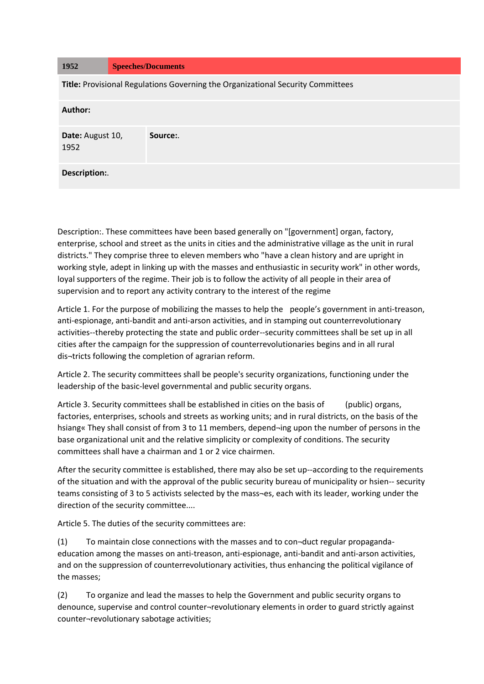| 1952                                                                            | <b>Speeches/Documents</b> |  |
|---------------------------------------------------------------------------------|---------------------------|--|
| Title: Provisional Regulations Governing the Organizational Security Committees |                           |  |
| Author:                                                                         |                           |  |
| Date: August 10,<br>1952                                                        | Source:                   |  |
| Description:.                                                                   |                           |  |

Description:. These committees have been based generally on "[government] organ, factory, enterprise, school and street as the units in cities and the administrative village as the unit in rural districts." They comprise three to eleven members who "have a clean history and are upright in working style, adept in linking up with the masses and enthusiastic in security work" in other words, loyal supporters of the regime. Their job is to follow the activity of all people in their area of supervision and to report any activity contrary to the interest of the regime

Article 1. For the purpose of mobilizing the masses to help the people's government in anti-treason, anti-espionage, anti-bandit and anti-arson activities, and in stamping out counterrevolutionary activities--thereby protecting the state and public order--security committees shall be set up in all cities after the campaign for the suppression of counterrevolutionaries begins and in all rural dis¬tricts following the completion of agrarian reform.

Article 2. The security committees shall be people's security organizations, functioning under the leadership of the basic-level governmental and public security organs.

Article 3. Security committees shall be established in cities on the basis of (public) organs, factories, enterprises, schools and streets as working units; and in rural districts, on the basis of the hsiang« They shall consist of from 3 to 11 members, depend-ing upon the number of persons in the base organizational unit and the relative simplicity or complexity of conditions. The security committees shall have a chairman and 1 or 2 vice chairmen.

After the security committee is established, there may also be set up--according to the requirements of the situation and with the approval of the public security bureau of municipality or hsien-- security teams consisting of 3 to 5 activists selected by the mass¬es, each with its leader, working under the direction of the security committee....

Article 5. The duties of the security committees are:

(1) To maintain close connections with the masses and to con¬duct regular propagandaeducation among the masses on anti-treason, anti-espionage, anti-bandit and anti-arson activities, and on the suppression of counterrevolutionary activities, thus enhancing the political vigilance of the masses;

(2) To organize and lead the masses to help the Government and public security organs to denounce, supervise and control counter¬revolutionary elements in order to guard strictly against counter¬revolutionary sabotage activities;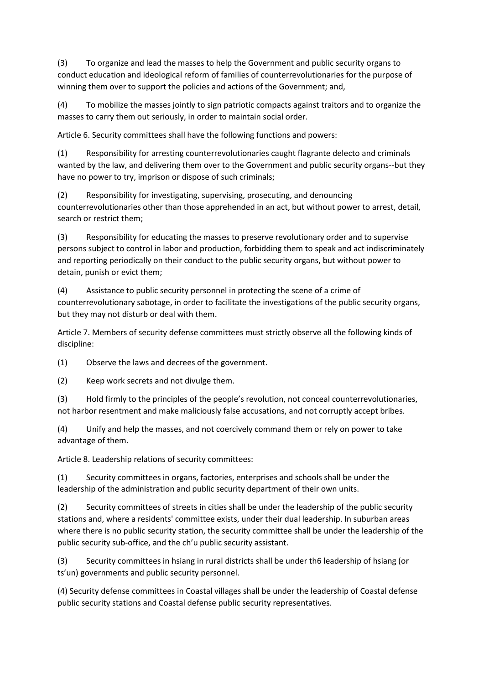(3) To organize and lead the masses to help the Government and public security organs to conduct education and ideological reform of families of counterrevolutionaries for the purpose of winning them over to support the policies and actions of the Government; and,

(4) To mobilize the masses jointly to sign patriotic compacts against traitors and to organize the masses to carry them out seriously, in order to maintain social order.

Article 6. Security committees shall have the following functions and powers:

(1) Responsibility for arresting counterrevolutionaries caught flagrante delecto and criminals wanted by the law, and delivering them over to the Government and public security organs--but they have no power to try, imprison or dispose of such criminals;

(2) Responsibility for investigating, supervising, prosecuting, and denouncing counterrevolutionaries other than those apprehended in an act, but without power to arrest, detail, search or restrict them;

(3) Responsibility for educating the masses to preserve revolutionary order and to supervise persons subject to control in labor and production, forbidding them to speak and act indiscriminately and reporting periodically on their conduct to the public security organs, but without power to detain, punish or evict them;

(4) Assistance to public security personnel in protecting the scene of a crime of counterrevolutionary sabotage, in order to facilitate the investigations of the public security organs, but they may not disturb or deal with them.

Article 7. Members of security defense committees must strictly observe all the following kinds of discipline:

(1) Observe the laws and decrees of the government.

(2) Keep work secrets and not divulge them.

(3) Hold firmly to the principles of the people's revolution, not conceal counterrevolutionaries, not harbor resentment and make maliciously false accusations, and not corruptly accept bribes.

(4) Unify and help the masses, and not coercively command them or rely on power to take advantage of them.

Article 8. Leadership relations of security committees:

(1) Security committees in organs, factories, enterprises and schools shall be under the leadership of the administration and public security department of their own units.

(2) Security committees of streets in cities shall be under the leadership of the public security stations and, where a residents' committee exists, under their dual leadership. In suburban areas where there is no public security station, the security committee shall be under the leadership of the public security sub-office, and the ch'u public security assistant.

(3) Security committees in hsiang in rural districts shall be under th6 leadership of hsiang (or ts'un) governments and public security personnel.

(4) Security defense committees in Coastal villages shall be under the leadership of Coastal defense public security stations and Coastal defense public security representatives.